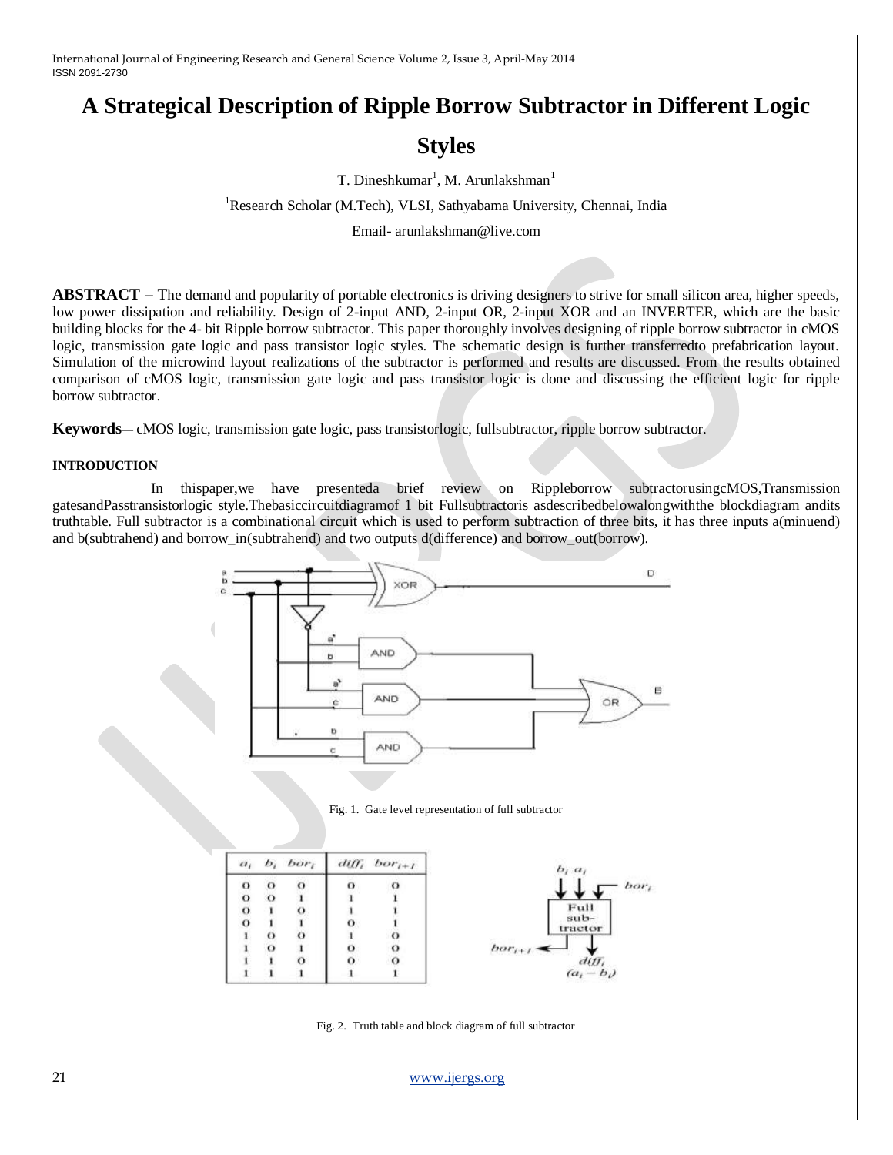# **A Strategical Description of Ripple Borrow Subtractor in Different Logic**

# **Styles**

T. Dineshkumar<sup>1</sup>, M. Arunlakshman<sup>1</sup>

<sup>1</sup>Research Scholar (M.Tech), VLSI, Sathyabama University, Chennai, India

Email- arunlakshman@live.com

**ABSTRACT –** The demand and popularity of portable electronics is driving designers to strive for small silicon area, higher speeds, low power dissipation and reliability. Design of 2-input AND, 2-input OR, 2-input XOR and an INVERTER, which are the basic building blocks for the 4- bit Ripple borrow subtractor. This paper thoroughly involves designing of ripple borrow subtractor in cMOS logic, transmission gate logic and pass transistor logic styles. The schematic design is further transferredto prefabrication layout. Simulation of the microwind layout realizations of the subtractor is performed and results are discussed. From the results obtained comparison of cMOS logic, transmission gate logic and pass transistor logic is done and discussing the efficient logic for ripple borrow subtractor.

**Keywords**— cMOS logic, transmission gate logic, pass transistorlogic, fullsubtractor, ripple borrow subtractor.

#### **INTRODUCTION**

In thispaper,we have presenteda brief review on Rippleborrow subtractorusingcMOS,Transmission gatesandPasstransistorlogic style.Thebasiccircuitdiagramof 1 bit Fullsubtractoris asdescribedbelowalongwiththe blockdiagram andits truthtable. Full subtractor is a combinational circuit which is used to perform subtraction of three bits, it has three inputs a(minuend) and b(subtrahend) and borrow in(subtrahend) and two outputs d(difference) and borrow out(borrow).



Fig. 1. Gate level representation of full subtractor

| $b_i a_i$       | $diff_i$ bor <sub>i+1</sub> |   | $b_i$ , bor <sub>i</sub> |          | $a_i$ |
|-----------------|-----------------------------|---|--------------------------|----------|-------|
| bor             | O                           | о | $\Omega$                 | $\circ$  |       |
|                 |                             |   |                          | $\Omega$ |       |
| Full            |                             |   | $\circ$                  |          |       |
| sub-<br>tractor |                             | o |                          |          |       |
|                 |                             |   | $\circ$                  | $\circ$  |       |
| $bor_{i+1}$     | $\Omega$                    | o |                          | $\Omega$ |       |
|                 | $\Omega$                    | 0 | $\sigma$                 |          |       |
| $(a_i - b_i)$   |                             |   |                          |          |       |

Fig. 2. Truth table and block diagram of full subtractor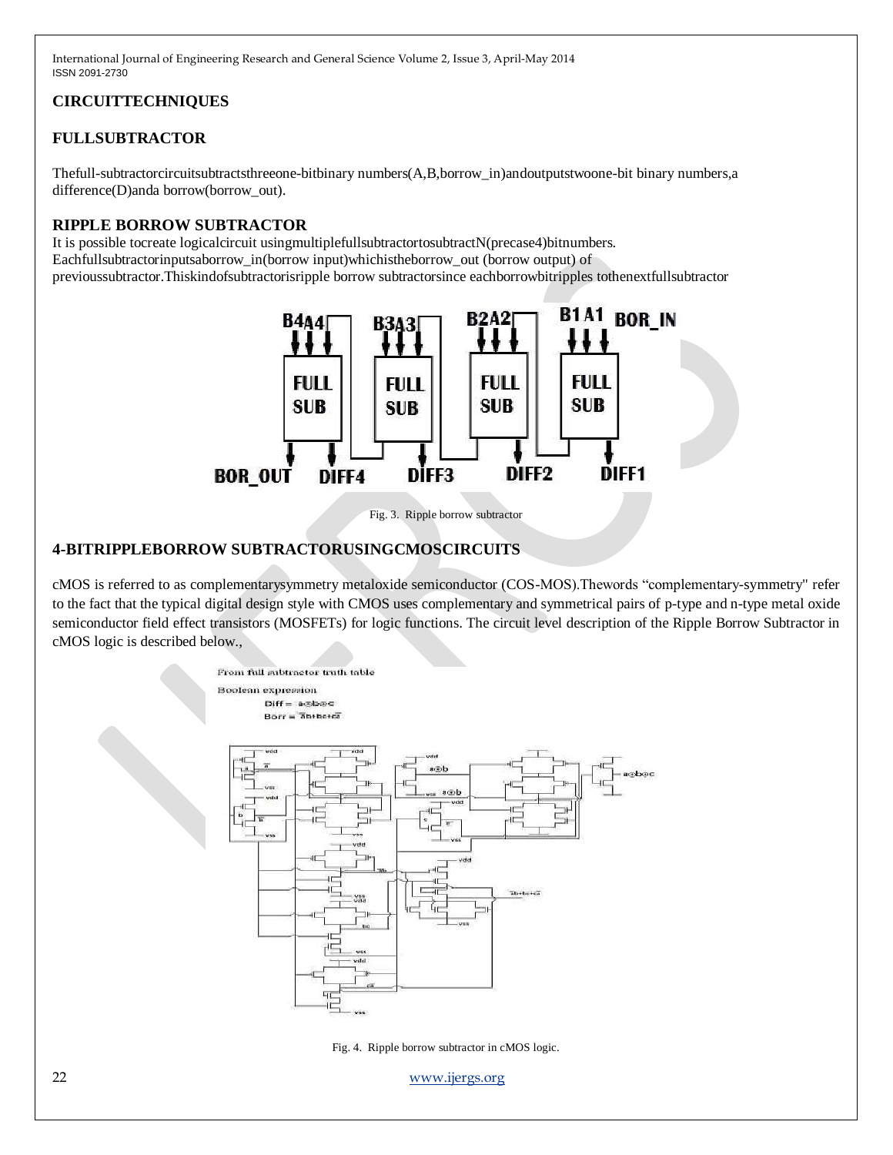# **CIRCUITTECHNIQUES**

## **FULLSUBTRACTOR**

Thefull-subtractorcircuitsubtractsthreeone-bitbinary numbers(A,B,borrow\_in)andoutputstwoone-bit binary numbers,a difference(D)anda borrow(borrow\_out).

#### **RIPPLE BORROW SUBTRACTOR**

It is possible tocreate logicalcircuit using multiplefulls ubtractor to subtract N(precase 4) bitnumbers. Eachfullsubtractorinputsaborrow\_in(borrow input)whichistheborrow\_out (borrow output) of previoussubtractor.Thiskindofsubtractorisripple borrow subtractorsince eachborrowbitripples tothenextfullsubtractor





## **4-BITRIPPLEBORROW SUBTRACTORUSINGCMOSCIRCUITS**

cMOS is referred to as complementarysymmetry metaloxide semiconductor (COS-MOS).Thewords "complementary-symmetry" refer to the fact that the typical digital design style with CMOS uses complementary and symmetrical pairs of [p-type an](http://en.wikipedia.org/wiki/P-type_semiconductor)d [n-type metal oxide](http://en.wikipedia.org/wiki/N-type_semiconductor)  [semiconductor field effect transistors \(M](http://en.wikipedia.org/wiki/N-type_semiconductor)OSFETs) for logic functions. The circuit level description of the Ripple Borrow Subtractor in cMOS logic is described below.,



Fig. 4. Ripple borrow subtractor in cMOS logic.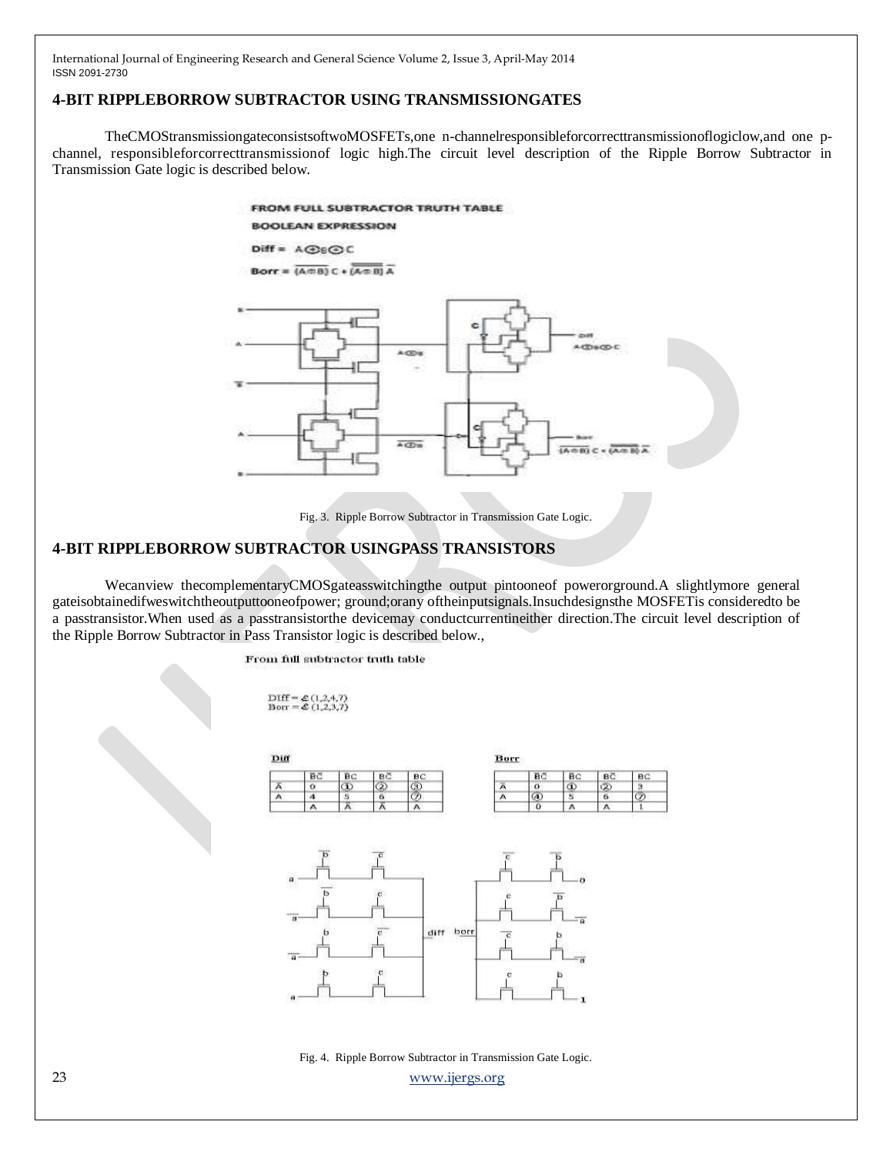#### **4-BIT RIPPLEBORROW SUBTRACTOR USING TRANSMISSIONGATES**

TheCMOStransmissiongateconsistsoftwoMOSFETs,one n-channelresponsibleforcorrecttransmissionoflogiclow,and one pchannel, responsibleforcorrecttransmissionof logic high.The circuit level description of the Ripple Borrow Subtractor in Transmission Gate logic is described below.

> FROM FULL SUBTRACTOR TRUTH TABLE **BOOLFAN EXPRESSION** Diff = A@6@C

Borr =  $(A \oplus B) C \cdot (A \oplus B) A$ 



Fig. 3. Ripple Borrow Subtractor in Transmission Gate Logic.

#### **4-BIT RIPPLEBORROW SUBTRACTOR USINGPASS TRANSISTORS**

Wecanview thecomplementaryCMOSgateasswitchingthe output pintooneof powerorground.A slightlymore general gateisobtainedifweswitchtheoutputtooneofpower; ground;orany oftheinputsignals.Insuchdesignsthe MOSFETis consideredto be a passtransistor.When used as a passtransistorthe devicemay conductcurrentineither direction.The circuit level description of the Ripple Borrow Subtractor in Pass Transistor logic is described below.,

From full subtractor truth table

DIff =  $\&$  (1,2,4,7)<br>Borr =  $\&$  (1,2,3,7)



23 [www.ijergs.org](http://www.ijergs.org/) Fig. 4. Ripple Borrow Subtractor in Transmission Gate Logic.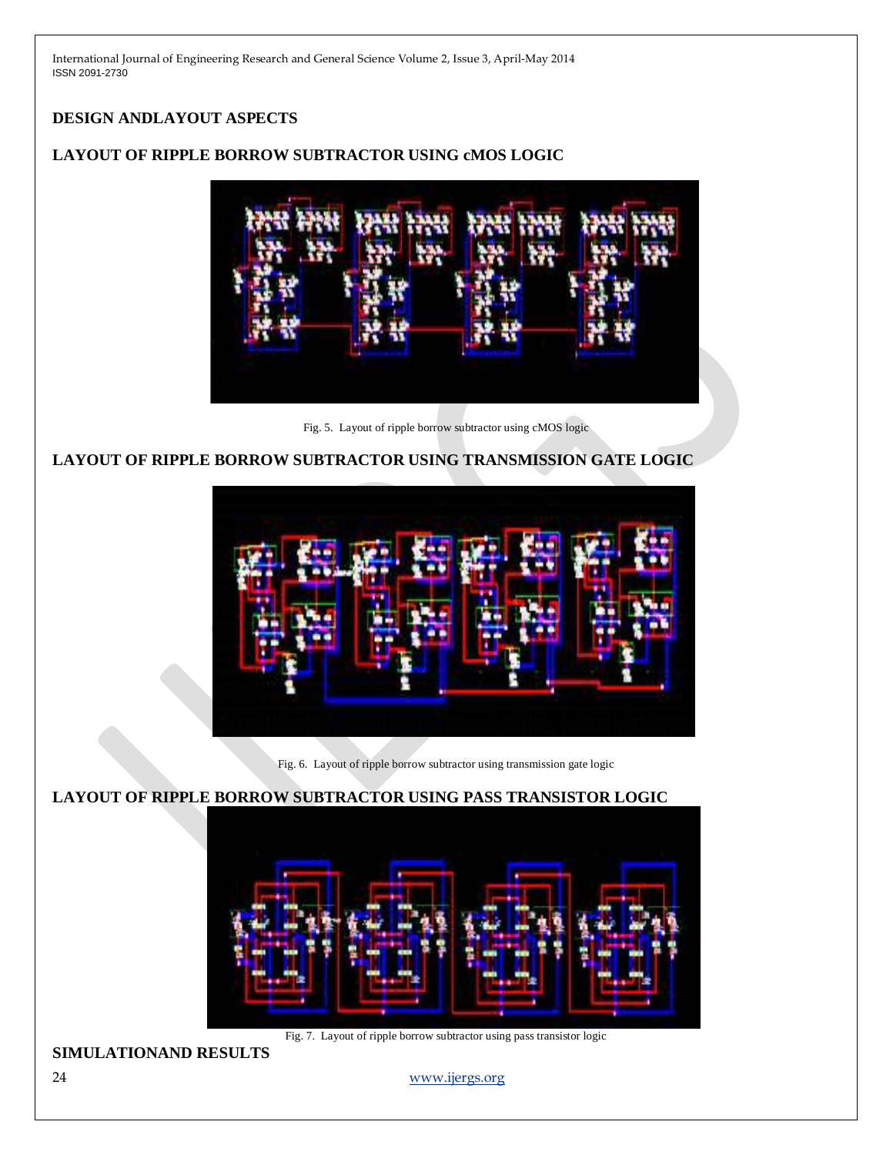# **DESIGN ANDLAYOUT ASPECTS**

## **LAYOUT OF RIPPLE BORROW SUBTRACTOR USING cMOS LOGIC**

Fig. 5. Layout of ripple borrow subtractor using cMOS logic

# **LAYOUT OF RIPPLE BORROW SUBTRACTOR USING TRANSMISSION GATE LOGIC**



Fig. 6. Layout of ripple borrow subtractor using transmission gate logic

## **LAYOUT OF RIPPLE BORROW SUBTRACTOR USING PASS TRANSISTOR LOGIC**



Fig. 7. Layout of ripple borrow subtractor using pass transistor logic

**SIMULATIONAND RESULTS**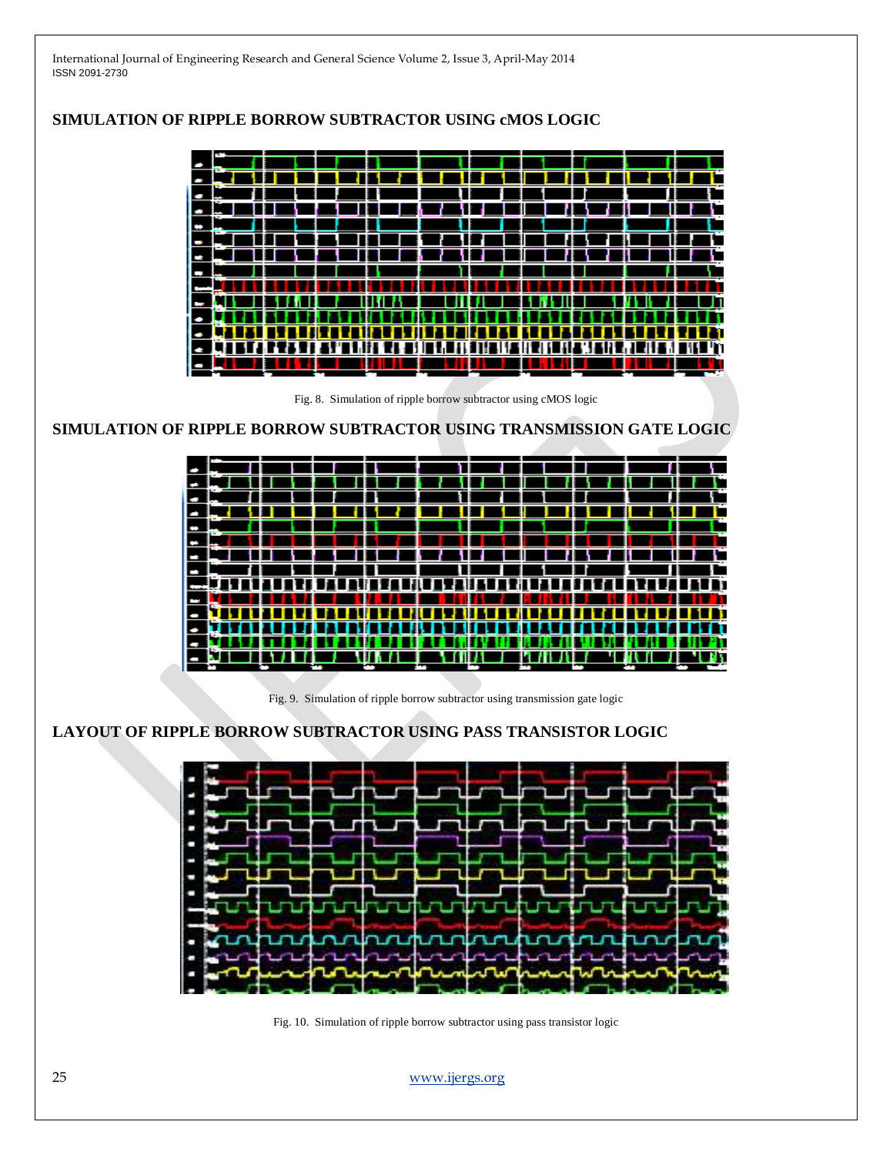

## **SIMULATION OF RIPPLE BORROW SUBTRACTOR USING cMOS LOGIC**

Fig. 10. Simulation of ripple borrow subtractor using pass transistor logic